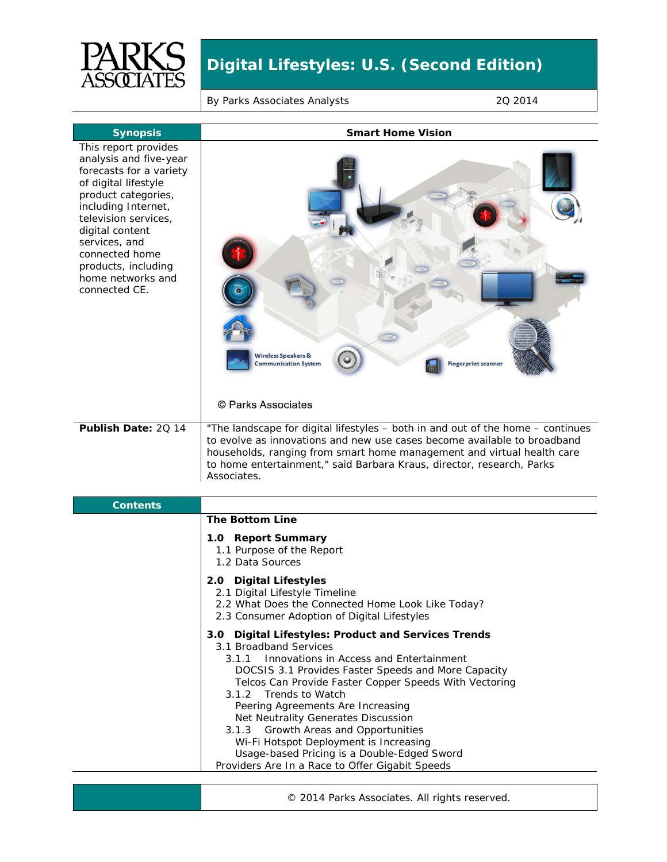

### By Parks Associates Analysts 2Q 2014

| <b>Synopsis</b>                                                                                                                                                                                                                                                                            | <b>Smart Home Vision</b>                                                                                                                                                                                                                                                                                       |
|--------------------------------------------------------------------------------------------------------------------------------------------------------------------------------------------------------------------------------------------------------------------------------------------|----------------------------------------------------------------------------------------------------------------------------------------------------------------------------------------------------------------------------------------------------------------------------------------------------------------|
| This report provides<br>analysis and five-year<br>forecasts for a variety<br>of digital lifestyle<br>product categories,<br>including Internet,<br>television services,<br>digital content<br>services, and<br>connected home<br>products, including<br>home networks and<br>connected CE. | <b>Wireless Speakers &amp;</b><br><b>Fingerprint scanner</b><br><b>Communication System</b><br>© Parks Associates                                                                                                                                                                                              |
| Publish Date: 20 14                                                                                                                                                                                                                                                                        | "The landscape for digital lifestyles – both in and out of the home – continues<br>to evolve as innovations and new use cases become available to broadband<br>households, ranging from smart home management and virtual health care<br>to home entertainment," said Barbara Kraus, director, research, Parks |
|                                                                                                                                                                                                                                                                                            | Associates.                                                                                                                                                                                                                                                                                                    |

| <b>Contents</b> |                                                                                                                                                                                                                                                                                                                                                                                                                                                                                                                                             |
|-----------------|---------------------------------------------------------------------------------------------------------------------------------------------------------------------------------------------------------------------------------------------------------------------------------------------------------------------------------------------------------------------------------------------------------------------------------------------------------------------------------------------------------------------------------------------|
|                 | <b>The Bottom Line</b>                                                                                                                                                                                                                                                                                                                                                                                                                                                                                                                      |
|                 | 1.0 Report Summary<br>1.1 Purpose of the Report<br>1.2 Data Sources                                                                                                                                                                                                                                                                                                                                                                                                                                                                         |
|                 | 2.0 Digital Lifestyles<br>2.1 Digital Lifestyle Timeline<br>2.2 What Does the Connected Home Look Like Today?<br>2.3 Consumer Adoption of Digital Lifestyles                                                                                                                                                                                                                                                                                                                                                                                |
|                 | 3.0 Digital Lifestyles: Product and Services Trends<br>3.1 Broadband Services<br>Innovations in Access and Entertainment<br>3.1.1<br>DOCSIS 3.1 Provides Faster Speeds and More Capacity<br>Telcos Can Provide Faster Copper Speeds With Vectoring<br>3.1.2 Trends to Watch<br>Peering Agreements Are Increasing<br>Net Neutrality Generates Discussion<br>3.1.3 Growth Areas and Opportunities<br>Wi-Fi Hotspot Deployment is Increasing<br>Usage-based Pricing is a Double-Edged Sword<br>Providers Are In a Race to Offer Gigabit Speeds |

© 2014 Parks Associates. All rights reserved.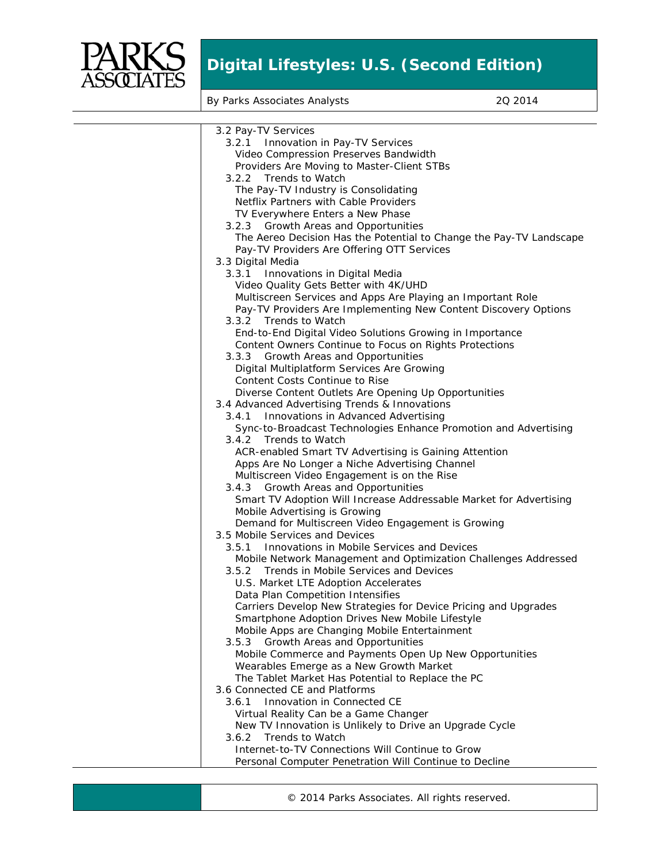

By Parks Associates Analysts 2Q 2014

| 3.2 Pay-TV Services                                                 |
|---------------------------------------------------------------------|
| 3.2.1 Innovation in Pay-TV Services                                 |
| Video Compression Preserves Bandwidth                               |
| Providers Are Moving to Master-Client STBs                          |
| 3.2.2 Trends to Watch                                               |
| The Pay-TV Industry is Consolidating                                |
| Netflix Partners with Cable Providers                               |
| TV Everywhere Enters a New Phase                                    |
| 3.2.3 Growth Areas and Opportunities                                |
| The Aereo Decision Has the Potential to Change the Pay-TV Landscape |
| Pay-TV Providers Are Offering OTT Services                          |
| 3.3 Digital Media                                                   |
| 3.3.1 Innovations in Digital Media                                  |
| Video Quality Gets Better with 4K/UHD                               |
| Multiscreen Services and Apps Are Playing an Important Role         |
| Pay-TV Providers Are Implementing New Content Discovery Options     |
| 3.3.2 Trends to Watch                                               |
| End-to-End Digital Video Solutions Growing in Importance            |
| Content Owners Continue to Focus on Rights Protections              |
| Growth Areas and Opportunities<br>3.3.3                             |
| Digital Multiplatform Services Are Growing                          |
| Content Costs Continue to Rise                                      |
| Diverse Content Outlets Are Opening Up Opportunities                |
| 3.4 Advanced Advertising Trends & Innovations                       |
| Innovations in Advanced Advertising<br>3.4.1                        |
| Sync-to-Broadcast Technologies Enhance Promotion and Advertising    |
| 3.4.2 Trends to Watch                                               |
| ACR-enabled Smart TV Advertising is Gaining Attention               |
| Apps Are No Longer a Niche Advertising Channel                      |
| Multiscreen Video Engagement is on the Rise                         |
| Growth Areas and Opportunities<br>3.4.3                             |
| Smart TV Adoption Will Increase Addressable Market for Advertising  |
| Mobile Advertising is Growing                                       |
| Demand for Multiscreen Video Engagement is Growing                  |
| 3.5 Mobile Services and Devices                                     |
| Innovations in Mobile Services and Devices<br>3.5.1                 |
| Mobile Network Management and Optimization Challenges Addressed     |
| 3.5.2 Trends in Mobile Services and Devices                         |
| U.S. Market LTE Adoption Accelerates                                |
| Data Plan Competition Intensifies                                   |
| Carriers Develop New Strategies for Device Pricing and Upgrades     |
| Smartphone Adoption Drives New Mobile Lifestyle                     |
| Mobile Apps are Changing Mobile Entertainment                       |
| 3.5.3 Growth Areas and Opportunities                                |
| Mobile Commerce and Payments Open Up New Opportunities              |
| Wearables Emerge as a New Growth Market                             |
| The Tablet Market Has Potential to Replace the PC                   |
| 3.6 Connected CE and Platforms                                      |
| Innovation in Connected CE<br>3.6.1                                 |
| Virtual Reality Can be a Game Changer                               |
| New TV Innovation is Unlikely to Drive an Upgrade Cycle             |
| <b>Trends to Watch</b><br>3.6.2                                     |
| Internet-to-TV Connections Will Continue to Grow                    |
|                                                                     |
| Personal Computer Penetration Will Continue to Decline              |

© 2014 Parks Associates. All rights reserved.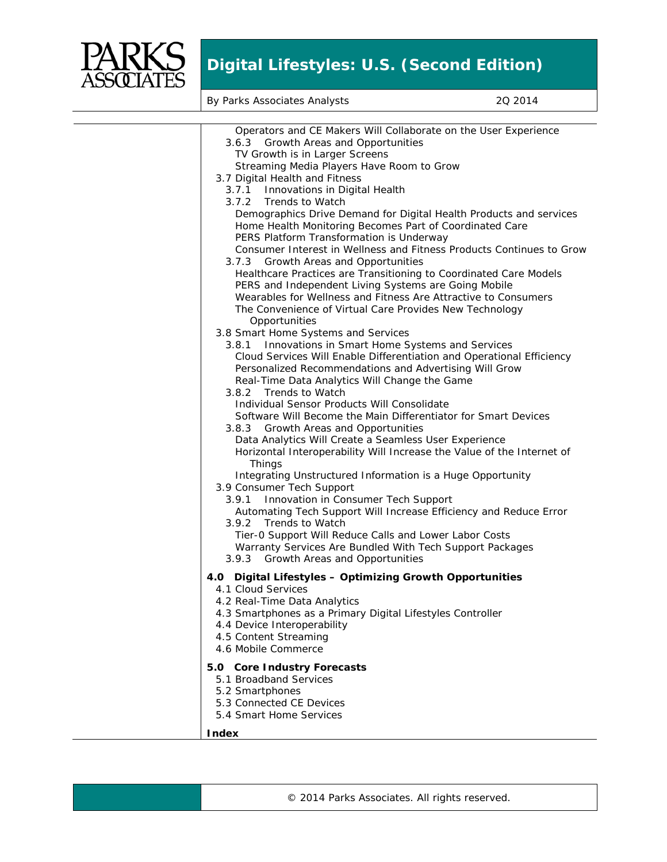

By Parks Associates Analysts 2Q 2014

| Operators and CE Makers Will Collaborate on the User Experience<br>3.6.3 Growth Areas and Opportunities                       |
|-------------------------------------------------------------------------------------------------------------------------------|
| TV Growth is in Larger Screens                                                                                                |
| Streaming Media Players Have Room to Grow                                                                                     |
| 3.7 Digital Health and Fitness                                                                                                |
| 3.7.1 Innovations in Digital Health                                                                                           |
| 3.7.2 Trends to Watch                                                                                                         |
| Demographics Drive Demand for Digital Health Products and services                                                            |
| Home Health Monitoring Becomes Part of Coordinated Care                                                                       |
| PERS Platform Transformation is Underway                                                                                      |
| Consumer Interest in Wellness and Fitness Products Continues to Grow                                                          |
| 3.7.3 Growth Areas and Opportunities                                                                                          |
| Healthcare Practices are Transitioning to Coordinated Care Models                                                             |
| PERS and Independent Living Systems are Going Mobile                                                                          |
| Wearables for Wellness and Fitness Are Attractive to Consumers                                                                |
| The Convenience of Virtual Care Provides New Technology                                                                       |
| Opportunities                                                                                                                 |
| 3.8 Smart Home Systems and Services                                                                                           |
| 3.8.1 Innovations in Smart Home Systems and Services<br>Cloud Services Will Enable Differentiation and Operational Efficiency |
| Personalized Recommendations and Advertising Will Grow                                                                        |
| Real-Time Data Analytics Will Change the Game                                                                                 |
| 3.8.2 Trends to Watch                                                                                                         |
| Individual Sensor Products Will Consolidate                                                                                   |
| Software Will Become the Main Differentiator for Smart Devices                                                                |
| 3.8.3 Growth Areas and Opportunities                                                                                          |
| Data Analytics Will Create a Seamless User Experience                                                                         |
| Horizontal Interoperability Will Increase the Value of the Internet of                                                        |
| <b>Things</b>                                                                                                                 |
| Integrating Unstructured Information is a Huge Opportunity                                                                    |
| 3.9 Consumer Tech Support                                                                                                     |
| Innovation in Consumer Tech Support<br>3.9.1                                                                                  |
| Automating Tech Support Will Increase Efficiency and Reduce Error                                                             |
| 3.9.2<br>Trends to Watch                                                                                                      |
| Tier-0 Support Will Reduce Calls and Lower Labor Costs<br>Warranty Services Are Bundled With Tech Support Packages            |
| 3.9.3 Growth Areas and Opportunities                                                                                          |
|                                                                                                                               |
| 4.0 Digital Lifestyles - Optimizing Growth Opportunities                                                                      |
| 4.1 Cloud Services                                                                                                            |
| 4.2 Real-Time Data Analytics                                                                                                  |
| 4.3 Smartphones as a Primary Digital Lifestyles Controller                                                                    |
| 4.4 Device Interoperability<br>4.5 Content Streaming                                                                          |
| 4.6 Mobile Commerce                                                                                                           |
|                                                                                                                               |
| 5.0 Core Industry Forecasts                                                                                                   |
| 5.1 Broadband Services                                                                                                        |
| 5.2 Smartphones                                                                                                               |
| 5.3 Connected CE Devices                                                                                                      |
| 5.4 Smart Home Services                                                                                                       |
| Index                                                                                                                         |
|                                                                                                                               |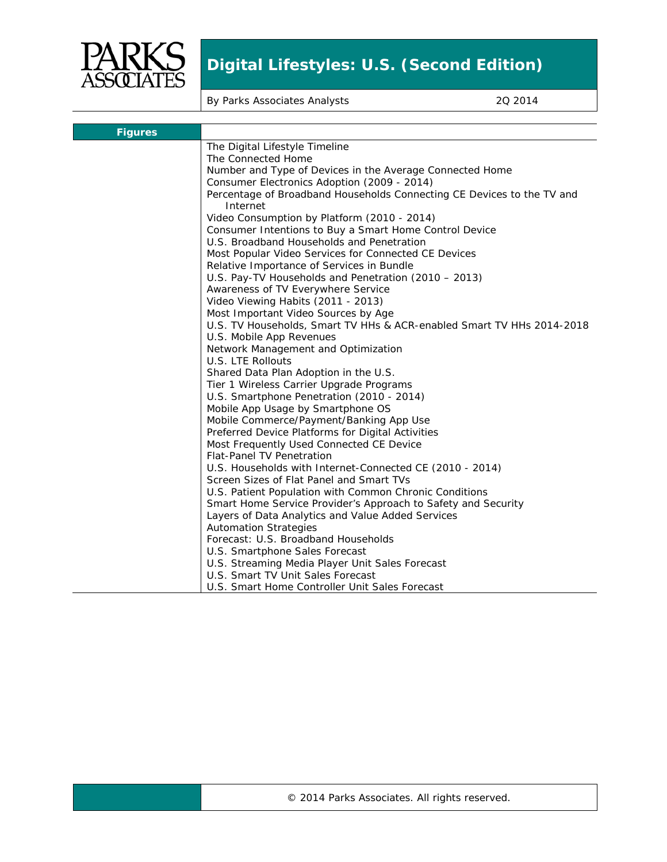

By Parks Associates Analysts 2Q 2014

| <b>Figures</b> |                                                                                    |
|----------------|------------------------------------------------------------------------------------|
|                | The Digital Lifestyle Timeline                                                     |
|                | The Connected Home                                                                 |
|                | Number and Type of Devices in the Average Connected Home                           |
|                | Consumer Electronics Adoption (2009 - 2014)                                        |
|                | Percentage of Broadband Households Connecting CE Devices to the TV and<br>Internet |
|                | Video Consumption by Platform (2010 - 2014)                                        |
|                | Consumer Intentions to Buy a Smart Home Control Device                             |
|                | U.S. Broadband Households and Penetration                                          |
|                | Most Popular Video Services for Connected CE Devices                               |
|                | Relative Importance of Services in Bundle                                          |
|                | U.S. Pay-TV Households and Penetration (2010 - 2013)                               |
|                | Awareness of TV Everywhere Service                                                 |
|                | Video Viewing Habits (2011 - 2013)                                                 |
|                | Most Important Video Sources by Age                                                |
|                | U.S. TV Households, Smart TV HHs & ACR-enabled Smart TV HHs 2014-2018              |
|                | U.S. Mobile App Revenues                                                           |
|                | Network Management and Optimization                                                |
|                | U.S. LTE Rollouts                                                                  |
|                | Shared Data Plan Adoption in the U.S.                                              |
|                | Tier 1 Wireless Carrier Upgrade Programs                                           |
|                | U.S. Smartphone Penetration (2010 - 2014)                                          |
|                | Mobile App Usage by Smartphone OS                                                  |
|                | Mobile Commerce/Payment/Banking App Use                                            |
|                | Preferred Device Platforms for Digital Activities                                  |
|                | Most Frequently Used Connected CE Device                                           |
|                | <b>Flat-Panel TV Penetration</b>                                                   |
|                | U.S. Households with Internet-Connected CE (2010 - 2014)                           |
|                | Screen Sizes of Flat Panel and Smart TVs                                           |
|                | U.S. Patient Population with Common Chronic Conditions                             |
|                | Smart Home Service Provider's Approach to Safety and Security                      |
|                | Layers of Data Analytics and Value Added Services                                  |
|                | <b>Automation Strategies</b>                                                       |
|                | Forecast: U.S. Broadband Households                                                |
|                | U.S. Smartphone Sales Forecast                                                     |
|                | U.S. Streaming Media Player Unit Sales Forecast                                    |
|                | U.S. Smart TV Unit Sales Forecast                                                  |
|                | U.S. Smart Home Controller Unit Sales Forecast                                     |